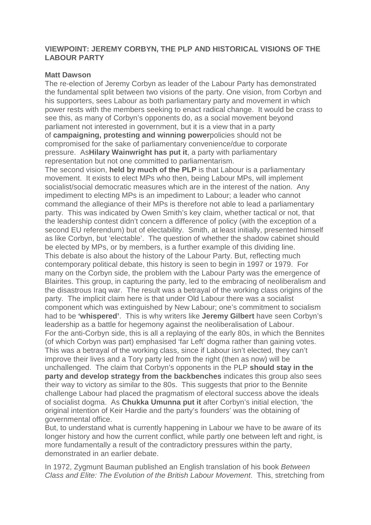## **VIEWPOINT: JEREMY CORBYN, THE PLP AND HISTORICAL VISIONS OF THE LABOUR PARTY**

## **Matt Dawson**

The re-election of Jeremy Corbyn as leader of the Labour Party has demonstrated the fundamental split between two visions of the party. One vision, from Corbyn and his supporters, sees Labour as both parliamentary party and movement in which power rests with the members seeking to enact radical change. It would be crass to see this, as many of Corbyn's opponents do, as a social movement beyond parliament not interested in government, but it is a view that in a party of **[campaigning,](http://www.ibtimes.co.uk/read-jeremy-corbyns-full-speech-labours-2016-conference-liverpool-1583796) protesting and winning power**policies should not be compromised for the sake of parliamentary convenience/due to corporate pressure. As**Hilary [Wainwright](https://www.versobooks.com/books/2377-corbyn-and-the-future-of-labour) has put it**, a party with parliamentary representation but not one committed to parliamentarism.

The second vision, **held by [much](https://www.theguardian.com/theguardian/2016/jul/08/neil-kinnock-interview-brexit-corbyn-labour) of the PLP** is that Labour is a parliamentary movement. It exists to elect MPs who then, being Labour MPs, will implement socialist/social democratic measures which are in the interest of the nation. Any impediment to electing MPs is an impediment to Labour; a leader who cannot command the allegiance of their MPs is therefore not able to lead a parliamentary party. This was indicated by Owen Smith's key claim, whether tactical or not, that the leadership contest didn't concern a difference of policy (with the exception of a second EU referendum) but of electability. Smith, at least initially, presented himself as like Corbyn, but 'electable'. The question of whether the shadow cabinet should be elected by MPs, or by members, is a further example of this dividing line. This debate is also about the history of the Labour Party. But, reflecting much contemporary political debate, this history is seen to begin in 1997 or 1979. For many on the Corbyn side, the problem with the Labour Party was the emergence of Blairites. This group, in capturing the party, led to the embracing of neoliberalism and the disastrous Iraq war. The result was a betrayal of the working class origins of the party. The implicit claim here is that under Old Labour there was a socialist component which was extinguished by New Labour; one's commitment to socialism had to be **['whispered'](http://europe.newsweek.com/labour-conference-2016-john-mcdonnell-speech-new-policies-co-operatives-living-502786?rm=eu)**. This is why writers like **[Jeremy](https://www.opendemocracy.net/uk/jeremy-gilbert/corbyn-whats-leader-really-for) Gilbert** have seen Corbyn's leadership as a battle for hegemony against the neoliberalisation of Labour. For the anti-Corbyn side, this is all a replaying of the early 80s, in which the Bennites (of which Corbyn was part) emphasised 'far Left' dogma rather than gaining votes. This was a betrayal of the working class, since if Labour isn't elected, they can't improve their lives and a Tory party led from the right (then as now) will be unchallenged. The claim that Corbyn's opponents in the PLP **[should](https://www.theguardian.com/commentisfree/2016/sep/24/labour-must-begin-fight-to-win-again-corbyn-tom-baldwin) stay in the party and develop strategy from the [backbenches](https://www.theguardian.com/commentisfree/2016/sep/24/labour-must-begin-fight-to-win-again-corbyn-tom-baldwin)** indicates this group also sees their way to victory as similar to the 80s. This suggests that prior to the Bennite challenge Labour had placed the pragmatism of electoral success above the ideals of socialist dogma. As **Chukka [Umunna](http://www.theguardian.com/politics/2015/sep/12/labour-frontbenchers-rule-out-serving-in-jeremy-corbyn-shadow-cabinet) put it** after Corbyn's initial election, 'the original intention of Keir Hardie and the party's founders' was the obtaining of governmental office.

But, to understand what is currently happening in Labour we have to be aware of its longer history and how the current conflict, while partly one between left and right, is more fundamentally a result of the contradictory pressures within the party, demonstrated in an earlier debate.

In 1972, Zygmunt Bauman published an English translation of his book *Between Class and Elite: The Evolution of the British Labour Movement*. This, stretching from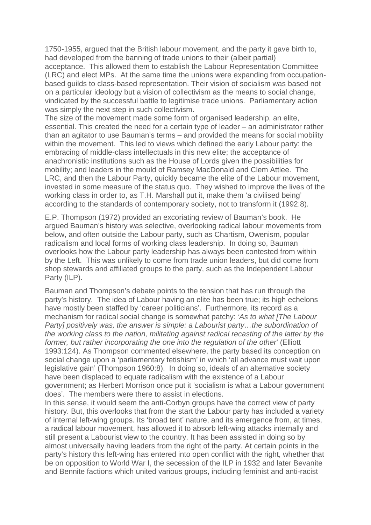1750-1955, argued that the British labour movement, and the party it gave birth to, had developed from the banning of trade unions to their (albeit partial) acceptance. This allowed them to establish the Labour Representation Committee (LRC) and elect MPs. At the same time the unions were expanding from occupationbased guilds to class-based representation. Their vision of socialism was based not on a particular ideology but a vision of collectivism as the means to social change, vindicated by the successful battle to legitimise trade unions. Parliamentary action was simply the next step in such collectivism.

The size of the movement made some form of organised leadership, an elite, essential. This created the need for a certain type of leader – an administrator rather than an agitator to use Bauman's terms – and provided the means for social mobility within the movement. This led to views which defined the early Labour party: the embracing of middle-class intellectuals in this new elite; the acceptance of anachronistic institutions such as the House of Lords given the possibilities for mobility; and leaders in the mould of Ramsey MacDonald and Clem Attlee. The LRC, and then the Labour Party, quickly became the elite of the Labour movement, invested in some measure of the status quo. They wished to improve the lives of the working class in order to, as T.H. Marshall put it, make them 'a civilised being' according to the standards of contemporary society, not to transform it (1992:8).

E.P. Thompson (1972) provided an excoriating review of Bauman's book. He argued Bauman's history was selective, overlooking radical labour movements from below, and often outside the Labour party, such as Chartism, Owenism, popular radicalism and local forms of working class leadership. In doing so, Bauman overlooks how the Labour party leadership has always been contested from within by the Left. This was unlikely to come from trade union leaders, but did come from shop stewards and affiliated groups to the party, such as the Independent Labour Party (ILP).

Bauman and Thompson's debate points to the tension that has run through the party's history. The idea of Labour having an elite has been true; its high echelons have mostly been staffed by 'career politicians'. Furthermore, its record as a mechanism for radical social change is somewhat patchy: *'As to what [The Labour Party] positively was, the answer is simple: a Labourist party…the subordination of the working class to the nation, militating against radical recasting of the latter by the former, but rather incorporating the one into the regulation of the other'* (Elliott 1993:124). As Thompson commented elsewhere, the party based its conception on social change upon a 'parliamentary fetishism' in which 'all advance must wait upon legislative gain' (Thompson 1960:8). In doing so, ideals of an alternative society have been displaced to equate radicalism with the existence of a Labour government; as Herbert Morrison once put it 'socialism is what a Labour government does'. The members were there to assist in elections.

In this sense, it would seem the anti-Corbyn groups have the correct view of party history. But, this overlooks that from the start the Labour party has included a variety of internal left-wing groups. Its 'broad tent' nature, and its emergence from, at times, a radical labour movement, has allowed it to absorb left-wing attacks internally and still present a Labourist view to the country. It has been assisted in doing so by almost universally having leaders from the right of the party. At certain points in the party's history this left-wing has entered into open conflict with the right, whether that be on opposition to World War I, the secession of the ILP in 1932 and later Bevanite and Bennite factions which united various groups, including feminist and anti-racist